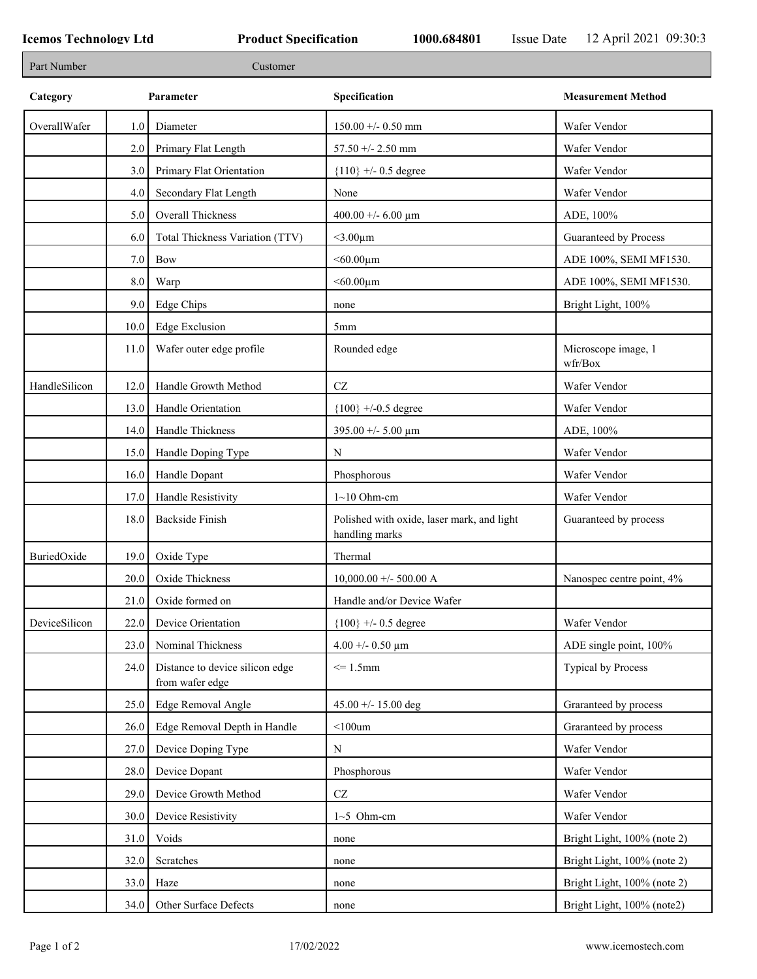| Part Number   |      | Customer                                           |                                                              |                                |
|---------------|------|----------------------------------------------------|--------------------------------------------------------------|--------------------------------|
| Category      |      | Parameter                                          | Specification                                                | <b>Measurement Method</b>      |
| OverallWafer  | 1.0  | Diameter                                           | $150.00 + - 0.50$ mm                                         | Wafer Vendor                   |
|               | 2.0  | Primary Flat Length                                | 57.50 +/- 2.50 mm                                            | Wafer Vendor                   |
|               | 3.0  | Primary Flat Orientation                           | ${110}$ +/- 0.5 degree                                       | Wafer Vendor                   |
|               | 4.0  | Secondary Flat Length                              | None                                                         | Wafer Vendor                   |
|               | 5.0  | Overall Thickness                                  | 400.00 +/- 6.00 $\mu$ m                                      | ADE, 100%                      |
|               | 6.0  | Total Thickness Variation (TTV)                    | $<$ 3.00 $\mu$ m                                             | Guaranteed by Process          |
|               | 7.0  | <b>Bow</b>                                         | $< 60.00 \mu m$                                              | ADE 100%, SEMI MF1530.         |
|               | 8.0  | Warp                                               | $<$ 60.00 $\mu$ m                                            | ADE 100%, SEMI MF1530.         |
|               | 9.0  | Edge Chips                                         | none                                                         | Bright Light, 100%             |
|               | 10.0 | <b>Edge Exclusion</b>                              | 5 <sub>mm</sub>                                              |                                |
|               | 11.0 | Wafer outer edge profile                           | Rounded edge                                                 | Microscope image, 1<br>wfr/Box |
| HandleSilicon | 12.0 | Handle Growth Method                               | CZ                                                           | Wafer Vendor                   |
|               | 13.0 | Handle Orientation                                 | ${100}$ +/-0.5 degree                                        | Wafer Vendor                   |
|               | 14.0 | Handle Thickness                                   | 395.00 +/- 5.00 $\mu$ m                                      | ADE, 100%                      |
|               | 15.0 | Handle Doping Type                                 | N                                                            | Wafer Vendor                   |
|               | 16.0 | Handle Dopant                                      | Phosphorous                                                  | Wafer Vendor                   |
|               | 17.0 | Handle Resistivity                                 | $1~10$ Ohm-cm                                                | Wafer Vendor                   |
|               | 18.0 | <b>Backside Finish</b>                             | Polished with oxide, laser mark, and light<br>handling marks | Guaranteed by process          |
| BuriedOxide   | 19.0 | Oxide Type                                         | Thermal                                                      |                                |
|               | 20.0 | Oxide Thickness                                    | $10,000.00 +/- 500.00 A$                                     | Nanospec centre point, 4%      |
|               |      | $21.0$ Oxide formed on                             | Handle and/or Device Wafer                                   |                                |
| DeviceSilicon | 22.0 | Device Orientation                                 | ${100}$ +/- 0.5 degree                                       | Wafer Vendor                   |
|               | 23.0 | Nominal Thickness                                  | 4.00 +/- 0.50 $\mu$ m                                        | ADE single point, 100%         |
|               | 24.0 | Distance to device silicon edge<br>from wafer edge | $\leq$ 1.5mm                                                 | Typical by Process             |
|               | 25.0 | Edge Removal Angle                                 | 45.00 +/- 15.00 deg                                          | Graranteed by process          |
|               | 26.0 | Edge Removal Depth in Handle                       | $<$ 100 $um$                                                 | Graranteed by process          |
|               | 27.0 | Device Doping Type                                 | N                                                            | Wafer Vendor                   |
|               | 28.0 | Device Dopant                                      | Phosphorous                                                  | Wafer Vendor                   |
|               | 29.0 | Device Growth Method                               | $\operatorname{CZ}$                                          | Wafer Vendor                   |
|               | 30.0 | Device Resistivity                                 | $1~5$ Ohm-cm                                                 | Wafer Vendor                   |
|               | 31.0 | Voids                                              | none                                                         | Bright Light, 100% (note 2)    |
|               | 32.0 | Scratches                                          | none                                                         | Bright Light, 100% (note 2)    |
|               | 33.0 | Haze                                               | none                                                         | Bright Light, 100% (note 2)    |
|               | 34.0 | Other Surface Defects                              | none                                                         | Bright Light, 100% (note2)     |